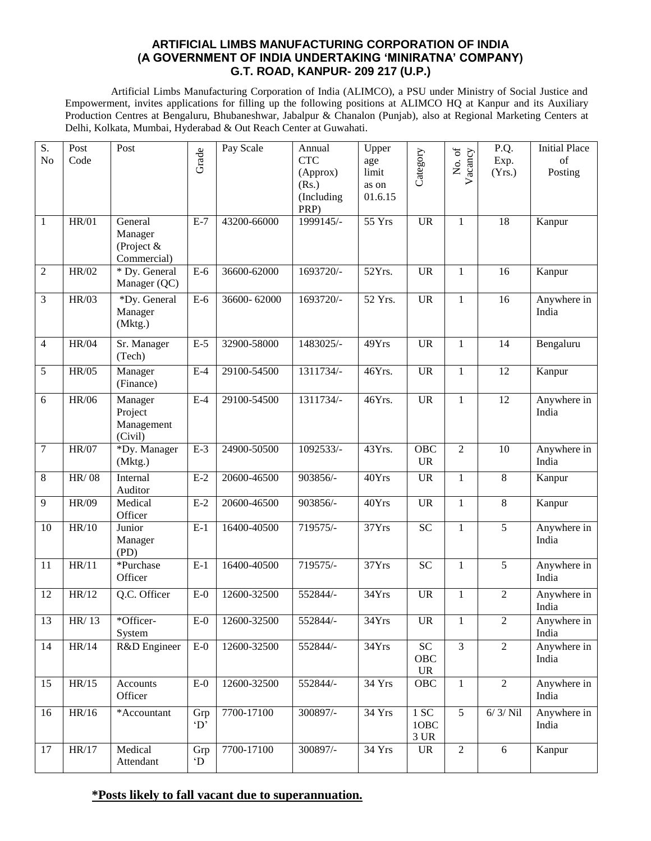#### **ARTIFICIAL LIMBS MANUFACTURING CORPORATION OF INDIA (A GOVERNMENT OF INDIA UNDERTAKING 'MINIRATNA' COMPANY) G.T. ROAD, KANPUR- 209 217 (U.P.)**

Artificial Limbs Manufacturing Corporation of India (ALIMCO), a PSU under Ministry of Social Justice and Empowerment, invites applications for filling up the following positions at ALIMCO HQ at Kanpur and its Auxiliary Production Centres at Bengaluru, Bhubaneshwar, Jabalpur & Chanalon (Punjab), also at Regional Marketing Centers at Delhi, Kolkata, Mumbai, Hyderabad & Out Reach Center at Guwahati.

| S.<br>N <sub>o</sub> | Post<br>Code | Post                                            | Grade                     | Pay Scale   | Annual<br><b>CTC</b><br>(Approx)<br>(Rs.)<br>(Including<br>PRP) | Upper<br>age<br>limit<br>as on<br>01.6.15 | Category                            | No. of<br>Vacancy | P.Q.<br>Exp.<br>(Yrs.) | <b>Initial Place</b><br>of<br>Posting |
|----------------------|--------------|-------------------------------------------------|---------------------------|-------------|-----------------------------------------------------------------|-------------------------------------------|-------------------------------------|-------------------|------------------------|---------------------------------------|
| $\mathbf{1}$         | <b>HR/01</b> | General<br>Manager<br>(Project &<br>Commercial) | $E-7$                     | 43200-66000 | $1999145/-$                                                     | 55 Yrs                                    | <b>UR</b>                           | $\mathbf{1}$      | 18                     | Kanpur                                |
| $\sqrt{2}$           | <b>HR/02</b> | * Dy. General<br>Manager (QC)                   | $E-6$                     | 36600-62000 | 1693720/-                                                       | 52Yrs.                                    | <b>UR</b>                           | $\mathbf{1}$      | 16                     | Kanpur                                |
| 3                    | <b>HR/03</b> | *Dy. General<br>Manager<br>(Mktg.)              | $E-6$                     | 36600-62000 | 1693720/-                                                       | 52 Yrs.                                   | <b>UR</b>                           | $\mathbf{1}$      | 16                     | Anywhere in<br>India                  |
| 4                    | <b>HR/04</b> | Sr. Manager<br>(Tech)                           | $E-5$                     | 32900-58000 | 1483025/-                                                       | 49Yrs                                     | <b>UR</b>                           | $\mathbf{1}$      | 14                     | Bengaluru                             |
| 5                    | HR/05        | Manager<br>(Finance)                            | $E-4$                     | 29100-54500 | 1311734/-                                                       | 46Yrs.                                    | <b>UR</b>                           | $\mathbf{1}$      | 12                     | Kanpur                                |
| 6                    | <b>HR/06</b> | Manager<br>Project<br>Management<br>(Civil)     | $E-4$                     | 29100-54500 | 1311734/-                                                       | 46Yrs.                                    | <b>UR</b>                           | $\mathbf{1}$      | 12                     | Anywhere in<br>India                  |
| 7                    | <b>HR/07</b> | *Dy. Manager<br>(Mktg.)                         | $E-3$                     | 24900-50500 | 1092533/-                                                       | 43Yrs.                                    | OBC<br><b>UR</b>                    | $\overline{2}$    | 10                     | Anywhere in<br>India                  |
| 8                    | HR/08        | Internal<br>Auditor                             | $E-2$                     | 20600-46500 | $903856/-$                                                      | 40Yrs                                     | <b>UR</b>                           | $\mathbf{1}$      | $\overline{8}$         | Kanpur                                |
| 9                    | <b>HR/09</b> | Medical<br>Officer                              | $E-2$                     | 20600-46500 | 903856/-                                                        | 40Yrs                                     | <b>UR</b>                           | $\mathbf{1}$      | 8                      | Kanpur                                |
| 10                   | HR/10        | Junior<br>Manager<br>(PD)                       | $E-1$                     | 16400-40500 | 719575/-                                                        | 37Yrs                                     | <b>SC</b>                           | $\mathbf{1}$      | 5                      | Anywhere in<br>India                  |
| 11                   | HR/11        | *Purchase<br>Officer                            | $E-1$                     | 16400-40500 | 719575/-                                                        | $\overline{37}Yrs$                        | <b>SC</b>                           | $\mathbf{1}$      | 5                      | Anywhere in<br>India                  |
| 12                   | HR/12        | Q.C. Officer                                    | $E-0$                     | 12600-32500 | 552844/-                                                        | 34Yrs                                     | <b>UR</b>                           | $\mathbf{1}$      | $\overline{2}$         | Anywhere in<br>India                  |
| 13                   | HR/13        | *Officer-<br>System                             | $E-0$                     | 12600-32500 | 552844/-                                                        | 34Yrs                                     | <b>UR</b>                           | 1                 | 2                      | Anywhere in<br>India                  |
| 14                   | HR/14        | R&D Engineer                                    | $E-0$                     | 12600-32500 | 552844/-                                                        | 34Yrs                                     | $\overline{SC}$<br>OBC<br><b>UR</b> | $\overline{3}$    | $\overline{2}$         | Anywhere in<br>India                  |
| 15                   | HR/15        | Accounts<br>Officer                             | $E-0$                     | 12600-32500 | 552844/-                                                        | 34 Yrs                                    | OBC                                 | $\mathbf{1}$      | $\overline{2}$         | Anywhere in<br>India                  |
| 16                   | HR/16        | *Accountant                                     | Grp<br>$\Delta$           | 7700-17100  | 300897/-                                                        | 34 Yrs                                    | 1 SC<br>1OBC<br>3 UR                | $\overline{5}$    | $6/3/$ Nil             | Anywhere in<br>India                  |
| 17                   | HR/17        | Medical<br>Attendant                            | Grp<br>$\mathbf{\hat{D}}$ | 7700-17100  | 300897/-                                                        | 34 Yrs                                    | <b>UR</b>                           | $\sqrt{2}$        | $\sqrt{6}$             | Kanpur                                |

#### **\*Posts likely to fall vacant due to superannuation.**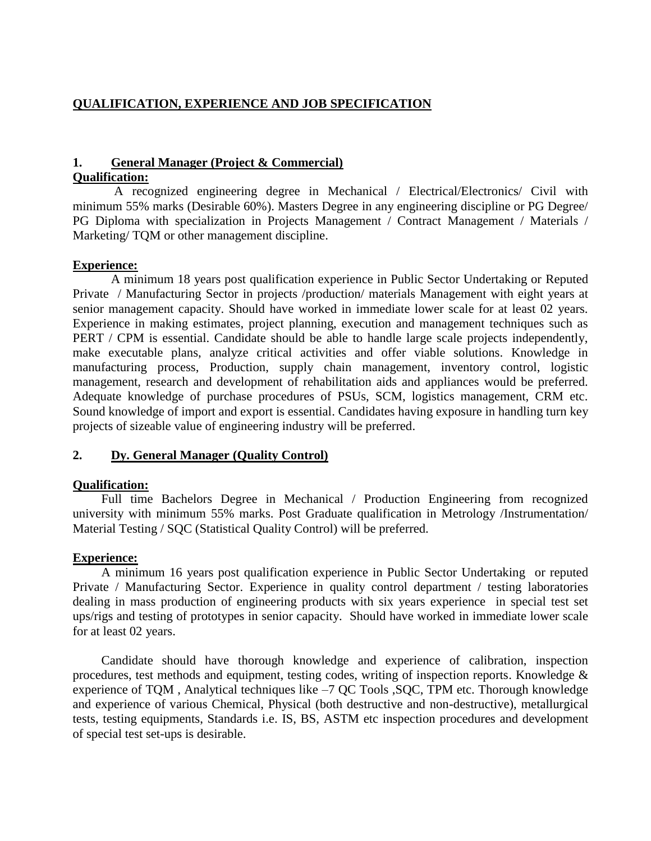## **QUALIFICATION, EXPERIENCE AND JOB SPECIFICATION**

# **1. General Manager (Project & Commercial)**

#### **Qualification:**

A recognized engineering degree in Mechanical / Electrical/Electronics/ Civil with minimum 55% marks (Desirable 60%). Masters Degree in any engineering discipline or PG Degree/ PG Diploma with specialization in Projects Management / Contract Management / Materials / Marketing/ TQM or other management discipline.

## **Experience:**

A minimum 18 years post qualification experience in Public Sector Undertaking or Reputed Private / Manufacturing Sector in projects /production/ materials Management with eight years at senior management capacity. Should have worked in immediate lower scale for at least 02 years. Experience in making estimates, project planning, execution and management techniques such as PERT / CPM is essential. Candidate should be able to handle large scale projects independently, make executable plans, analyze critical activities and offer viable solutions. Knowledge in manufacturing process, Production, supply chain management, inventory control, logistic management, research and development of rehabilitation aids and appliances would be preferred. Adequate knowledge of purchase procedures of PSUs, SCM, logistics management, CRM etc. Sound knowledge of import and export is essential. Candidates having exposure in handling turn key projects of sizeable value of engineering industry will be preferred.

## **2. Dy. General Manager (Quality Control)**

## **Qualification:**

Full time Bachelors Degree in Mechanical / Production Engineering from recognized university with minimum 55% marks. Post Graduate qualification in Metrology /Instrumentation/ Material Testing / SQC (Statistical Quality Control) will be preferred.

## **Experience:**

A minimum 16 years post qualification experience in Public Sector Undertaking or reputed Private / Manufacturing Sector. Experience in quality control department / testing laboratories dealing in mass production of engineering products with six years experience in special test set ups/rigs and testing of prototypes in senior capacity. Should have worked in immediate lower scale for at least 02 years.

Candidate should have thorough knowledge and experience of calibration, inspection procedures, test methods and equipment, testing codes, writing of inspection reports. Knowledge & experience of TQM , Analytical techniques like –7 QC Tools ,SQC, TPM etc. Thorough knowledge and experience of various Chemical, Physical (both destructive and non-destructive), metallurgical tests, testing equipments, Standards i.e. IS, BS, ASTM etc inspection procedures and development of special test set-ups is desirable.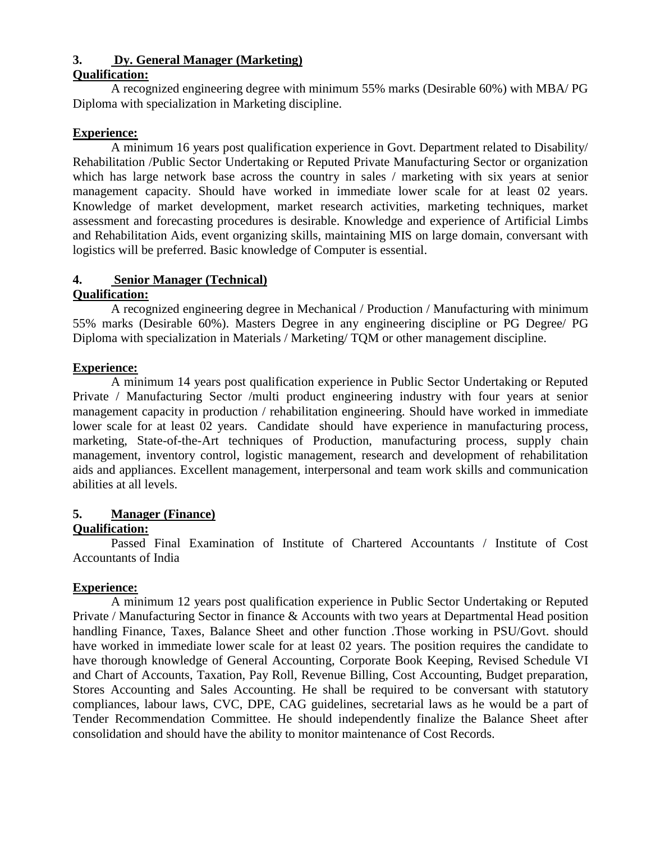## **3. Dy. General Manager (Marketing)**

## **Qualification:**

A recognized engineering degree with minimum 55% marks (Desirable 60%) with MBA/ PG Diploma with specialization in Marketing discipline.

## **Experience:**

A minimum 16 years post qualification experience in Govt. Department related to Disability/ Rehabilitation /Public Sector Undertaking or Reputed Private Manufacturing Sector or organization which has large network base across the country in sales / marketing with six years at senior management capacity. Should have worked in immediate lower scale for at least 02 years. Knowledge of market development, market research activities, marketing techniques, market assessment and forecasting procedures is desirable. Knowledge and experience of Artificial Limbs and Rehabilitation Aids, event organizing skills, maintaining MIS on large domain, conversant with logistics will be preferred. Basic knowledge of Computer is essential.

## **4. Senior Manager (Technical)**

## **Qualification:**

A recognized engineering degree in Mechanical / Production / Manufacturing with minimum 55% marks (Desirable 60%). Masters Degree in any engineering discipline or PG Degree/ PG Diploma with specialization in Materials / Marketing/ TQM or other management discipline.

## **Experience:**

A minimum 14 years post qualification experience in Public Sector Undertaking or Reputed Private / Manufacturing Sector /multi product engineering industry with four years at senior management capacity in production / rehabilitation engineering. Should have worked in immediate lower scale for at least 02 years. Candidate should have experience in manufacturing process, marketing, State-of-the-Art techniques of Production, manufacturing process, supply chain management, inventory control, logistic management, research and development of rehabilitation aids and appliances. Excellent management, interpersonal and team work skills and communication abilities at all levels.

## **5. Manager (Finance)**

## **Qualification:**

Passed Final Examination of Institute of Chartered Accountants / Institute of Cost Accountants of India

## **Experience:**

A minimum 12 years post qualification experience in Public Sector Undertaking or Reputed Private / Manufacturing Sector in finance & Accounts with two years at Departmental Head position handling Finance, Taxes, Balance Sheet and other function .Those working in PSU/Govt. should have worked in immediate lower scale for at least 02 years. The position requires the candidate to have thorough knowledge of General Accounting, Corporate Book Keeping, Revised Schedule VI and Chart of Accounts, Taxation, Pay Roll, Revenue Billing, Cost Accounting, Budget preparation, Stores Accounting and Sales Accounting. He shall be required to be conversant with statutory compliances, labour laws, CVC, DPE, CAG guidelines, secretarial laws as he would be a part of Tender Recommendation Committee. He should independently finalize the Balance Sheet after consolidation and should have the ability to monitor maintenance of Cost Records.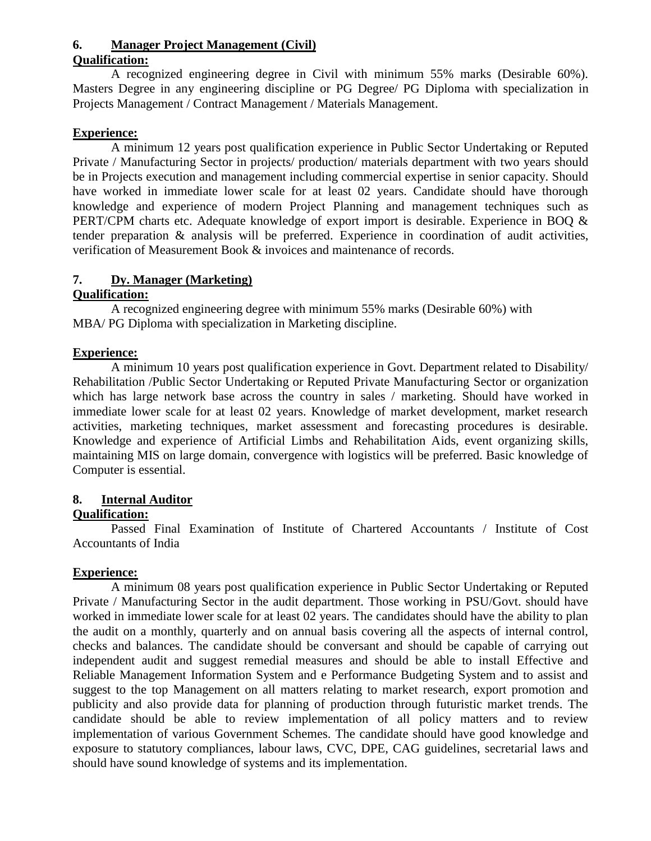## **6. Manager Project Management (Civil)**

#### **Qualification:**

A recognized engineering degree in Civil with minimum 55% marks (Desirable 60%). Masters Degree in any engineering discipline or PG Degree/ PG Diploma with specialization in Projects Management / Contract Management / Materials Management.

## **Experience:**

A minimum 12 years post qualification experience in Public Sector Undertaking or Reputed Private / Manufacturing Sector in projects/ production/ materials department with two years should be in Projects execution and management including commercial expertise in senior capacity. Should have worked in immediate lower scale for at least 02 years. Candidate should have thorough knowledge and experience of modern Project Planning and management techniques such as PERT/CPM charts etc. Adequate knowledge of export import is desirable. Experience in BOQ & tender preparation & analysis will be preferred. Experience in coordination of audit activities, verification of Measurement Book & invoices and maintenance of records.

## **7. Dy. Manager (Marketing)**

## **Qualification:**

A recognized engineering degree with minimum 55% marks (Desirable 60%) with MBA/ PG Diploma with specialization in Marketing discipline.

## **Experience:**

A minimum 10 years post qualification experience in Govt. Department related to Disability/ Rehabilitation /Public Sector Undertaking or Reputed Private Manufacturing Sector or organization which has large network base across the country in sales / marketing. Should have worked in immediate lower scale for at least 02 years. Knowledge of market development, market research activities, marketing techniques, market assessment and forecasting procedures is desirable. Knowledge and experience of Artificial Limbs and Rehabilitation Aids, event organizing skills, maintaining MIS on large domain, convergence with logistics will be preferred. Basic knowledge of Computer is essential.

## **8. Internal Auditor**

## **Qualification:**

Passed Final Examination of Institute of Chartered Accountants / Institute of Cost Accountants of India

## **Experience:**

A minimum 08 years post qualification experience in Public Sector Undertaking or Reputed Private / Manufacturing Sector in the audit department. Those working in PSU/Govt. should have worked in immediate lower scale for at least 02 years. The candidates should have the ability to plan the audit on a monthly, quarterly and on annual basis covering all the aspects of internal control, checks and balances. The candidate should be conversant and should be capable of carrying out independent audit and suggest remedial measures and should be able to install Effective and Reliable Management Information System and e Performance Budgeting System and to assist and suggest to the top Management on all matters relating to market research, export promotion and publicity and also provide data for planning of production through futuristic market trends. The candidate should be able to review implementation of all policy matters and to review implementation of various Government Schemes. The candidate should have good knowledge and exposure to statutory compliances, labour laws, CVC, DPE, CAG guidelines, secretarial laws and should have sound knowledge of systems and its implementation.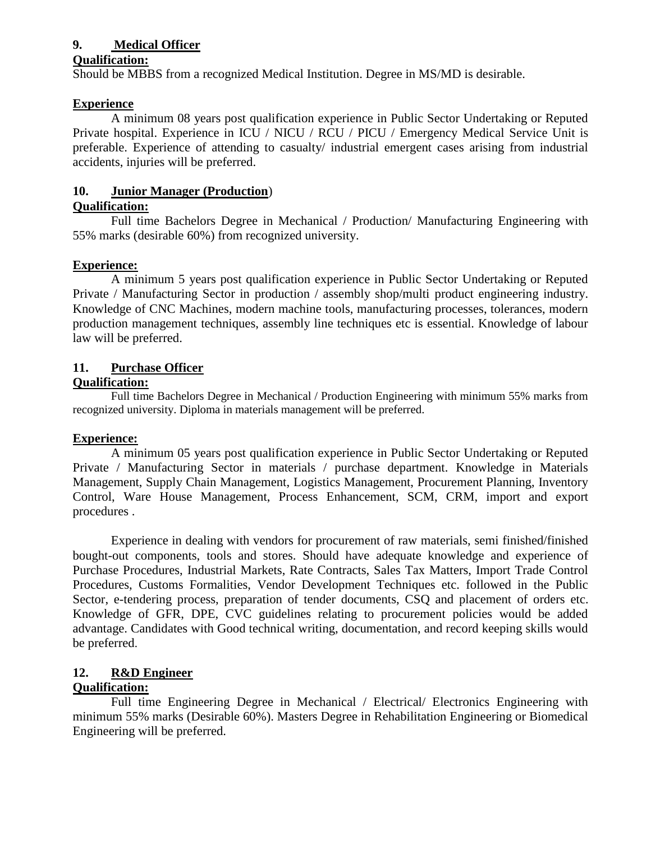## **9. Medical Officer**

#### **Qualification:**

Should be MBBS from a recognized Medical Institution. Degree in MS/MD is desirable.

## **Experience**

A minimum 08 years post qualification experience in Public Sector Undertaking or Reputed Private hospital. Experience in ICU / NICU / RCU / PICU / Emergency Medical Service Unit is preferable. Experience of attending to casualty/ industrial emergent cases arising from industrial accidents, injuries will be preferred.

## **10. Junior Manager (Production**)

## **Qualification:**

Full time Bachelors Degree in Mechanical / Production/ Manufacturing Engineering with 55% marks (desirable 60%) from recognized university.

## **Experience:**

A minimum 5 years post qualification experience in Public Sector Undertaking or Reputed Private / Manufacturing Sector in production / assembly shop/multi product engineering industry. Knowledge of CNC Machines, modern machine tools, manufacturing processes, tolerances, modern production management techniques, assembly line techniques etc is essential. Knowledge of labour law will be preferred.

## **11. Purchase Officer**

## **Qualification:**

Full time Bachelors Degree in Mechanical / Production Engineering with minimum 55% marks from recognized university. Diploma in materials management will be preferred.

## **Experience:**

A minimum 05 years post qualification experience in Public Sector Undertaking or Reputed Private / Manufacturing Sector in materials / purchase department. Knowledge in Materials Management, Supply Chain Management, Logistics Management, Procurement Planning, Inventory Control, Ware House Management, Process Enhancement, SCM, CRM, import and export procedures .

Experience in dealing with vendors for procurement of raw materials, semi finished/finished bought-out components, tools and stores. Should have adequate knowledge and experience of Purchase Procedures, Industrial Markets, Rate Contracts, Sales Tax Matters, Import Trade Control Procedures, Customs Formalities, Vendor Development Techniques etc. followed in the Public Sector, e-tendering process, preparation of tender documents, CSQ and placement of orders etc. Knowledge of GFR, DPE, CVC guidelines relating to procurement policies would be added advantage. Candidates with Good technical writing, documentation, and record keeping skills would be preferred.

# **12. R&D Engineer**

## **Qualification:**

Full time Engineering Degree in Mechanical / Electrical/ Electronics Engineering with minimum 55% marks (Desirable 60%). Masters Degree in Rehabilitation Engineering or Biomedical Engineering will be preferred.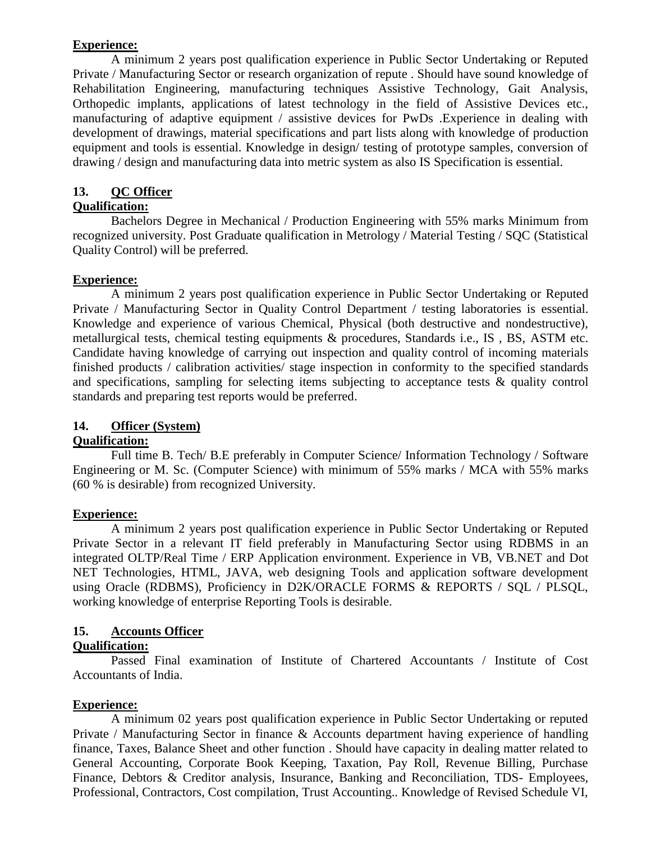#### **Experience:**

A minimum 2 years post qualification experience in Public Sector Undertaking or Reputed Private / Manufacturing Sector or research organization of repute . Should have sound knowledge of Rehabilitation Engineering, manufacturing techniques Assistive Technology, Gait Analysis, Orthopedic implants, applications of latest technology in the field of Assistive Devices etc., manufacturing of adaptive equipment / assistive devices for PwDs .Experience in dealing with development of drawings, material specifications and part lists along with knowledge of production equipment and tools is essential. Knowledge in design/ testing of prototype samples, conversion of drawing / design and manufacturing data into metric system as also IS Specification is essential.

## **13. QC Officer**

## **Qualification:**

Bachelors Degree in Mechanical / Production Engineering with 55% marks Minimum from recognized university. Post Graduate qualification in Metrology / Material Testing / SQC (Statistical Quality Control) will be preferred.

## **Experience:**

A minimum 2 years post qualification experience in Public Sector Undertaking or Reputed Private / Manufacturing Sector in Quality Control Department / testing laboratories is essential. Knowledge and experience of various Chemical, Physical (both destructive and nondestructive), metallurgical tests, chemical testing equipments & procedures, Standards i.e., IS , BS, ASTM etc. Candidate having knowledge of carrying out inspection and quality control of incoming materials finished products / calibration activities/ stage inspection in conformity to the specified standards and specifications, sampling for selecting items subjecting to acceptance tests & quality control standards and preparing test reports would be preferred.

## **14. Officer (System)**

## **Qualification:**

Full time B. Tech/ B.E preferably in Computer Science/ Information Technology / Software Engineering or M. Sc. (Computer Science) with minimum of 55% marks / MCA with 55% marks (60 % is desirable) from recognized University.

## **Experience:**

A minimum 2 years post qualification experience in Public Sector Undertaking or Reputed Private Sector in a relevant IT field preferably in Manufacturing Sector using RDBMS in an integrated OLTP/Real Time / ERP Application environment. Experience in VB, VB.NET and Dot NET Technologies, HTML, JAVA, web designing Tools and application software development using Oracle (RDBMS), Proficiency in D2K/ORACLE FORMS & REPORTS / SQL / PLSQL, working knowledge of enterprise Reporting Tools is desirable.

## **15. Accounts Officer**

## **Qualification:**

Passed Final examination of Institute of Chartered Accountants / Institute of Cost Accountants of India.

## **Experience:**

A minimum 02 years post qualification experience in Public Sector Undertaking or reputed Private / Manufacturing Sector in finance & Accounts department having experience of handling finance, Taxes, Balance Sheet and other function . Should have capacity in dealing matter related to General Accounting, Corporate Book Keeping, Taxation, Pay Roll, Revenue Billing, Purchase Finance, Debtors & Creditor analysis, Insurance, Banking and Reconciliation, TDS- Employees, Professional, Contractors, Cost compilation, Trust Accounting.. Knowledge of Revised Schedule VI,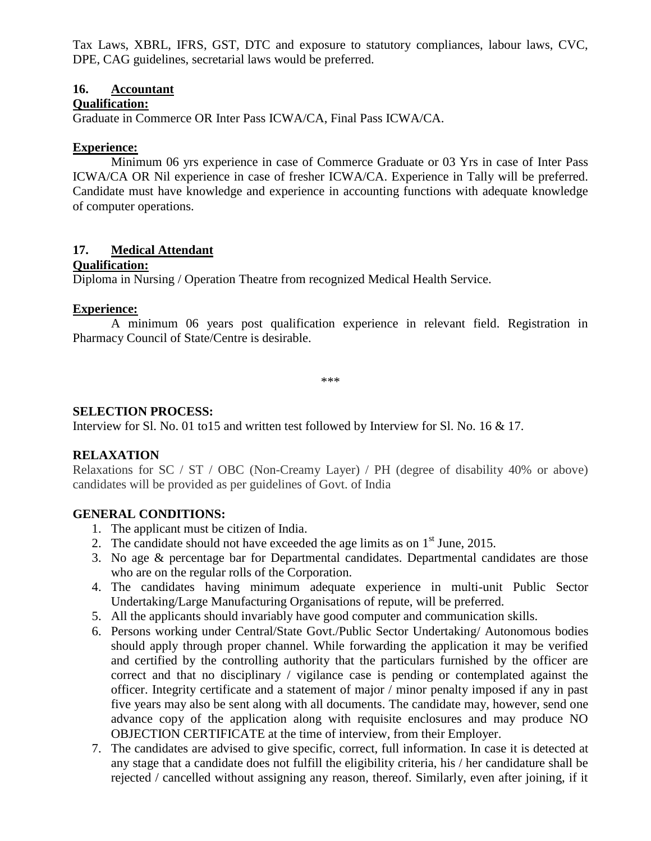Tax Laws, XBRL, IFRS, GST, DTC and exposure to statutory compliances, labour laws, CVC, DPE, CAG guidelines, secretarial laws would be preferred.

#### **16. Accountant**

#### **Qualification:**

Graduate in Commerce OR Inter Pass ICWA/CA, Final Pass ICWA/CA.

#### **Experience:**

Minimum 06 yrs experience in case of Commerce Graduate or 03 Yrs in case of Inter Pass ICWA/CA OR Nil experience in case of fresher ICWA/CA. Experience in Tally will be preferred. Candidate must have knowledge and experience in accounting functions with adequate knowledge of computer operations.

## **17. Medical Attendant**

#### **Qualification:**

Diploma in Nursing / Operation Theatre from recognized Medical Health Service.

## **Experience:**

A minimum 06 years post qualification experience in relevant field. Registration in Pharmacy Council of State/Centre is desirable.

\*\*\*

## **SELECTION PROCESS:**

Interview for Sl. No. 01 to15 and written test followed by Interview for Sl. No. 16 & 17.

## **RELAXATION**

Relaxations for SC / ST / OBC (Non-Creamy Layer) / PH (degree of disability 40% or above) candidates will be provided as per guidelines of Govt. of India

## **GENERAL CONDITIONS:**

- 1. The applicant must be citizen of India.
- 2. The candidate should not have exceeded the age limits as on  $1<sup>st</sup>$  June, 2015.
- 3. No age & percentage bar for Departmental candidates. Departmental candidates are those who are on the regular rolls of the Corporation.
- 4. The candidates having minimum adequate experience in multi-unit Public Sector Undertaking/Large Manufacturing Organisations of repute, will be preferred.
- 5. All the applicants should invariably have good computer and communication skills.
- 6. Persons working under Central/State Govt./Public Sector Undertaking/ Autonomous bodies should apply through proper channel. While forwarding the application it may be verified and certified by the controlling authority that the particulars furnished by the officer are correct and that no disciplinary / vigilance case is pending or contemplated against the officer. Integrity certificate and a statement of major / minor penalty imposed if any in past five years may also be sent along with all documents. The candidate may, however, send one advance copy of the application along with requisite enclosures and may produce NO OBJECTION CERTIFICATE at the time of interview, from their Employer.
- 7. The candidates are advised to give specific, correct, full information. In case it is detected at any stage that a candidate does not fulfill the eligibility criteria, his / her candidature shall be rejected / cancelled without assigning any reason, thereof. Similarly, even after joining, if it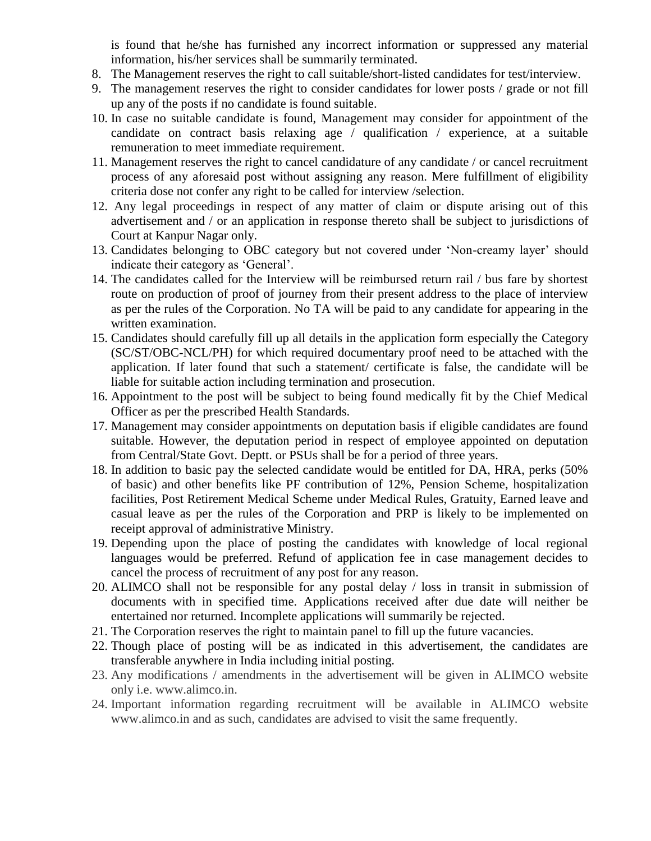is found that he/she has furnished any incorrect information or suppressed any material information, his/her services shall be summarily terminated.

- 8. The Management reserves the right to call suitable/short-listed candidates for test/interview.
- 9. The management reserves the right to consider candidates for lower posts / grade or not fill up any of the posts if no candidate is found suitable.
- 10. In case no suitable candidate is found, Management may consider for appointment of the candidate on contract basis relaxing age / qualification / experience, at a suitable remuneration to meet immediate requirement.
- 11. Management reserves the right to cancel candidature of any candidate / or cancel recruitment process of any aforesaid post without assigning any reason. Mere fulfillment of eligibility criteria dose not confer any right to be called for interview /selection.
- 12. Any legal proceedings in respect of any matter of claim or dispute arising out of this advertisement and / or an application in response thereto shall be subject to jurisdictions of Court at Kanpur Nagar only.
- 13. Candidates belonging to OBC category but not covered under 'Non-creamy layer' should indicate their category as 'General'.
- 14. The candidates called for the Interview will be reimbursed return rail / bus fare by shortest route on production of proof of journey from their present address to the place of interview as per the rules of the Corporation. No TA will be paid to any candidate for appearing in the written examination.
- 15. Candidates should carefully fill up all details in the application form especially the Category (SC/ST/OBC-NCL/PH) for which required documentary proof need to be attached with the application. If later found that such a statement/ certificate is false, the candidate will be liable for suitable action including termination and prosecution.
- 16. Appointment to the post will be subject to being found medically fit by the Chief Medical Officer as per the prescribed Health Standards.
- 17. Management may consider appointments on deputation basis if eligible candidates are found suitable. However, the deputation period in respect of employee appointed on deputation from Central/State Govt. Deptt. or PSUs shall be for a period of three years.
- 18. In addition to basic pay the selected candidate would be entitled for DA, HRA, perks (50% of basic) and other benefits like PF contribution of 12%, Pension Scheme, hospitalization facilities, Post Retirement Medical Scheme under Medical Rules, Gratuity, Earned leave and casual leave as per the rules of the Corporation and PRP is likely to be implemented on receipt approval of administrative Ministry.
- 19. Depending upon the place of posting the candidates with knowledge of local regional languages would be preferred. Refund of application fee in case management decides to cancel the process of recruitment of any post for any reason.
- 20. ALIMCO shall not be responsible for any postal delay / loss in transit in submission of documents with in specified time. Applications received after due date will neither be entertained nor returned. Incomplete applications will summarily be rejected.
- 21. The Corporation reserves the right to maintain panel to fill up the future vacancies.
- 22. Though place of posting will be as indicated in this advertisement, the candidates are transferable anywhere in India including initial posting.
- 23. Any modifications / amendments in the advertisement will be given in ALIMCO website only i.e. www.alimco.in.
- 24. Important information regarding recruitment will be available in ALIMCO website www.alimco.in and as such, candidates are advised to visit the same frequently.